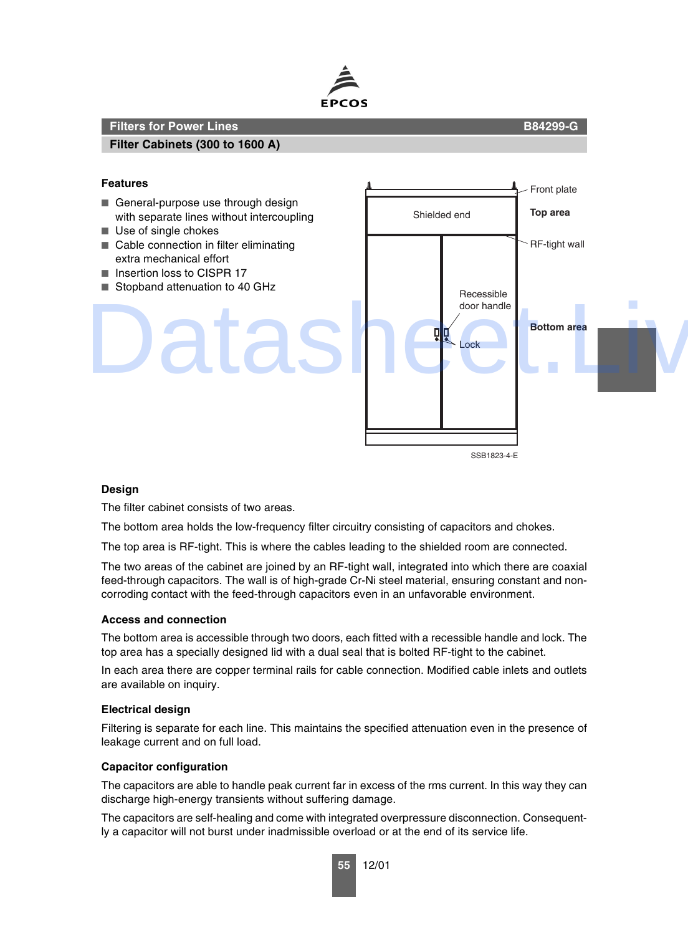

## **Filter Cabinets (300 to 1600 A)**

## **Features**

- General-purpose use through design with separate lines without intercoupling
- Use of single chokes
- Cable connection in filter eliminating extra mechanical effort
- Insertion loss to CISPR 17
- Stopband attenuation to 40 GHz



## **Design**

The filter cabinet consists of two areas.

The bottom area holds the low-frequency filter circuitry consisting of capacitors and chokes.

The top area is RF-tight. This is where the cables leading to the shielded room are connected.

The two areas of the cabinet are joined by an RF-tight wall, integrated into which there are coaxial feed-through capacitors. The wall is of high-grade Cr-Ni steel material, ensuring constant and noncorroding contact with the feed-through capacitors even in an unfavorable environment.

## **Access and connection**

The bottom area is accessible through two doors, each fitted with a recessible handle and lock. The top area has a specially designed lid with a dual seal that is bolted RF-tight to the cabinet.

In each area there are copper terminal rails for cable connection. Modified cable inlets and outlets are available on inquiry.

### **Electrical design**

Filtering is separate for each line. This maintains the specified attenuation even in the presence of leakage current and on full load.

## **Capacitor configuration**

The capacitors are able to handle peak current far in excess of the rms current. In this way they can discharge high-energy transients without suffering damage.

The capacitors are self-healing and come with integrated overpressure disconnection. Consequently a capacitor will not burst under inadmissible overload or at the end of its service life.

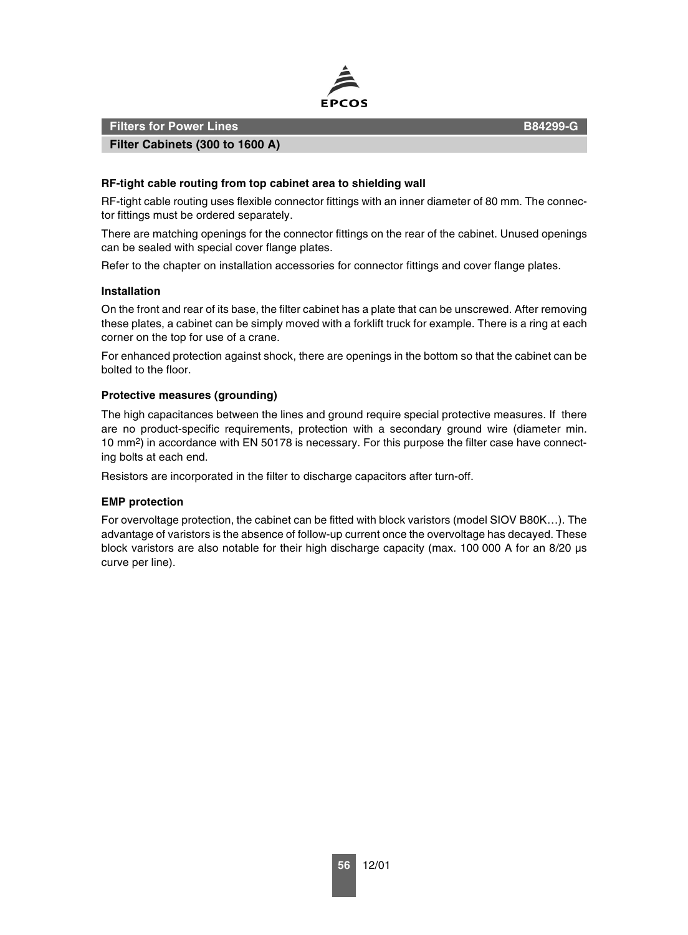

**Filter Cabinets (300 to 1600 A)**

## **RF-tight cable routing from top cabinet area to shielding wall**

RF-tight cable routing uses flexible connector fittings with an inner diameter of 80 mm. The connector fittings must be ordered separately.

There are matching openings for the connector fittings on the rear of the cabinet. Unused openings can be sealed with special cover flange plates.

Refer to the chapter on installation accessories for connector fittings and cover flange plates.

### **Installation**

On the front and rear of its base, the filter cabinet has a plate that can be unscrewed. After removing these plates, a cabinet can be simply moved with a forklift truck for example. There is a ring at each corner on the top for use of a crane.

For enhanced protection against shock, there are openings in the bottom so that the cabinet can be bolted to the floor.

## **Protective measures (grounding)**

The high capacitances between the lines and ground require special protective measures. If there are no product-specific requirements, protection with a secondary ground wire (diameter min. 10 mm2) in accordance with EN 50178 is necessary. For this purpose the filter case have connecting bolts at each end.

Resistors are incorporated in the filter to discharge capacitors after turn-off.

### **EMP protection**

For overvoltage protection, the cabinet can be fitted with block varistors (model SIOV B80K…). The advantage of varistors is the absence of follow-up current once the overvoltage has decayed. These block varistors are also notable for their high discharge capacity (max. 100 000 A for an 8/20 µs curve per line).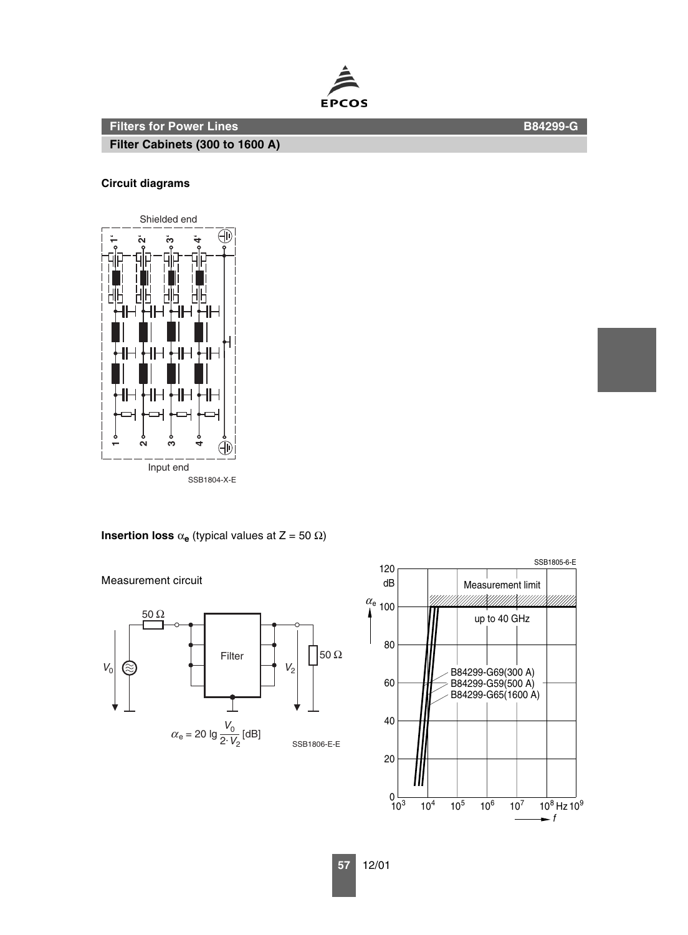**Filter Cabinets (300 to 1600 A)**

# **Circuit diagrams**









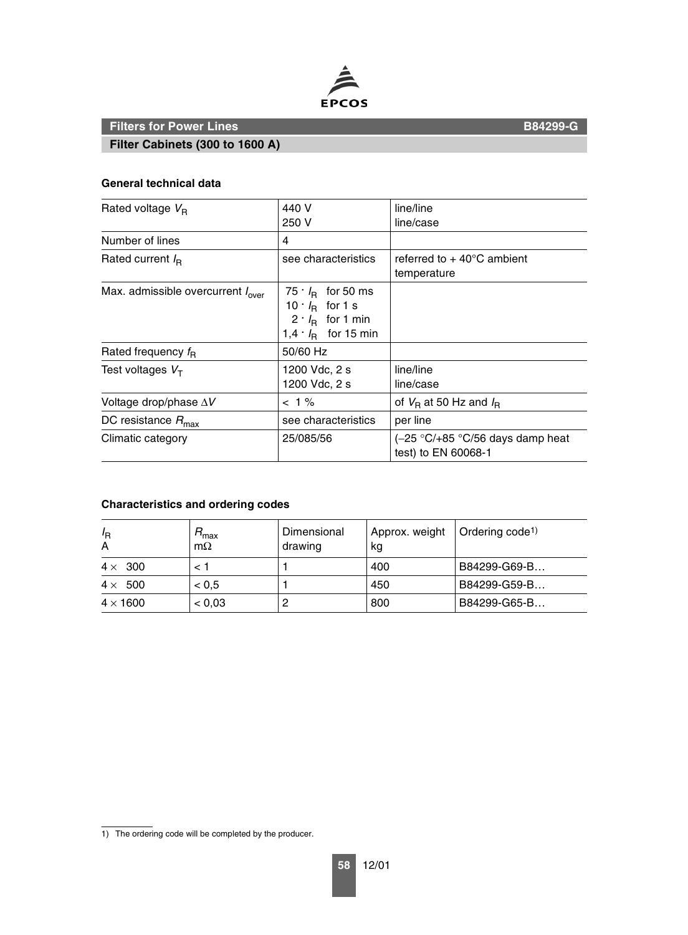

**Filter Cabinets (300 to 1600 A)**

## **General technical data**

| Rated voltage $V_{\rm B}$                     | 440 V<br>250 V                                                                                                      | line/line<br>line/case                                    |  |
|-----------------------------------------------|---------------------------------------------------------------------------------------------------------------------|-----------------------------------------------------------|--|
| Number of lines                               | 4                                                                                                                   |                                                           |  |
| Rated current $I_{\rm R}$                     | see characteristics                                                                                                 | referred to $+$ 40 $^{\circ}$ C ambient<br>temperature    |  |
| Max. admissible overcurrent $I_{\text{over}}$ | $75 \cdot I_{\rm B}$ for 50 ms<br>10 $I_R$ for 1 s<br>$2 \cdot I_{\rm B}$ for 1 min<br>1,4 $\cdot$ $I_R$ for 15 min |                                                           |  |
| Rated frequency $f_{\rm R}$                   | 50/60 Hz                                                                                                            |                                                           |  |
| Test voltages $VT$                            | 1200 Vdc, 2 s<br>1200 Vdc, 2 s                                                                                      | line/line<br>line/case                                    |  |
| Voltage drop/phase $\Delta V$                 | $< 1\%$                                                                                                             | of $V_B$ at 50 Hz and $I_B$                               |  |
| DC resistance $R_{\text{max}}$                | see characteristics                                                                                                 | per line                                                  |  |
| Climatic category                             | 25/085/56                                                                                                           | $(-25 °C/+85 °C/56$ days damp heat<br>test) to EN 60068-1 |  |

# **Characteristics and ordering codes**

| $I_{\mathsf{R}}$<br>A | ™ax<br>$m\Omega$ | Dimensional<br>drawing | Approx. weight   Ordering code <sup>1)</sup><br>kg |              |
|-----------------------|------------------|------------------------|----------------------------------------------------|--------------|
| $4 \times 300$        |                  |                        | 400                                                | B84299-G69-B |
| $4 \times 500$        | < 0.5            |                        | 450                                                | B84299-G59-B |
| $4 \times 1600$       | < 0.03           | 2                      | 800                                                | B84299-G65-B |

1) The ordering code will be completed by the producer.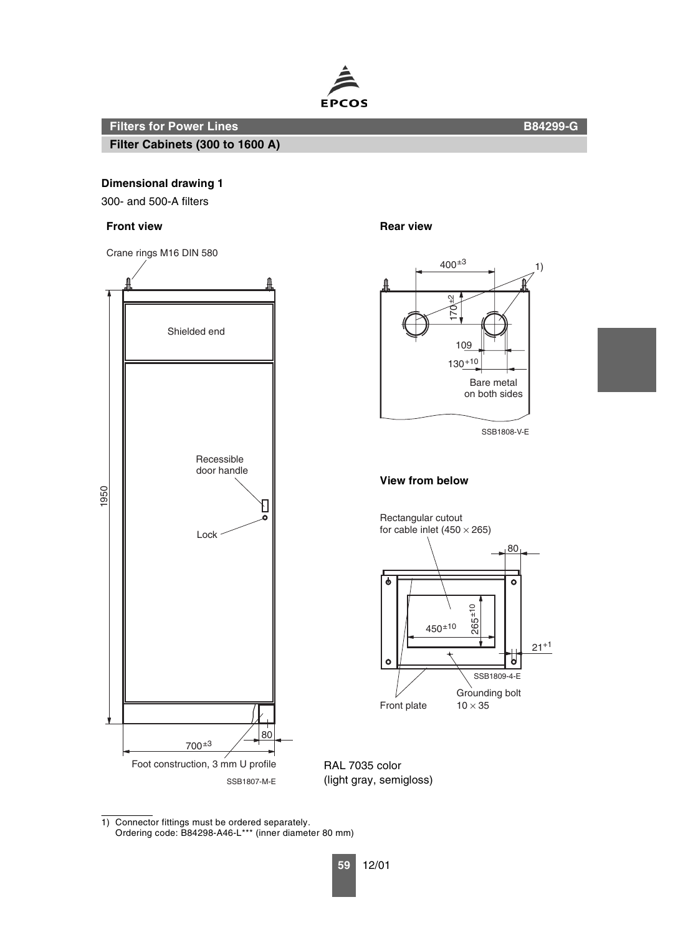

**Filter Cabinets (300 to 1600 A)**

**Dimensional drawing 1**

300- and 500-A filters

## **Front view Contract Contract Contract Contract Contract Contract Contract Contract Contract Contract Contract Contract Contract Contract Contract Contract Contract Contract Contract Contract Contract Contract Contract Con**





RAL 7035 color (light gray, semigloss)

1) Connector fittings must be ordered separately. Ordering code: B84298-A46-L\*\*\* (inner diameter 80 mm)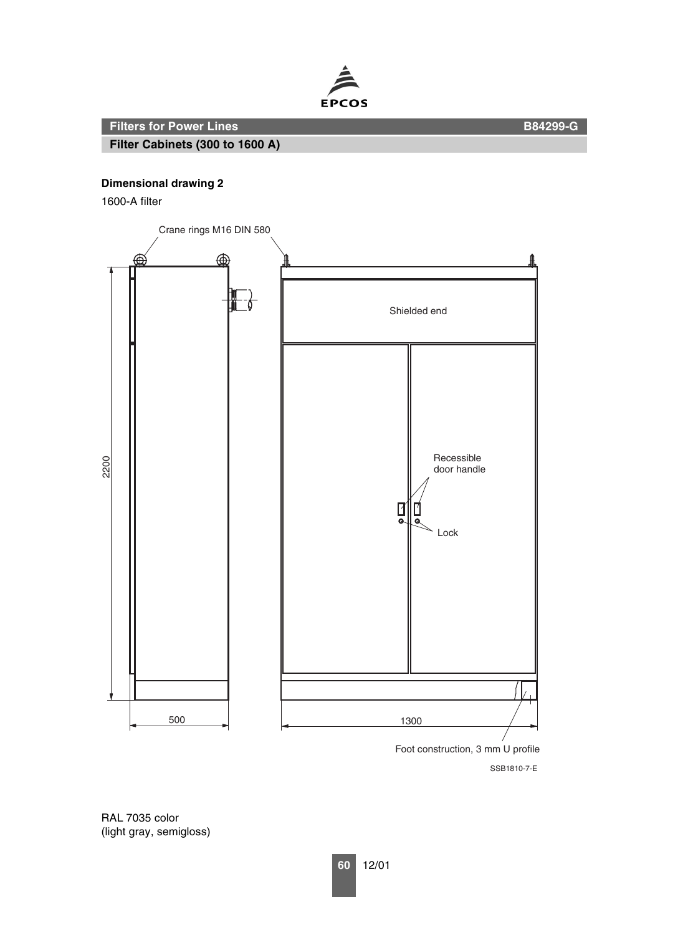

**Filter Cabinets (300 to 1600 A)**

1600-A filter



RAL 7035 color (light gray, semigloss)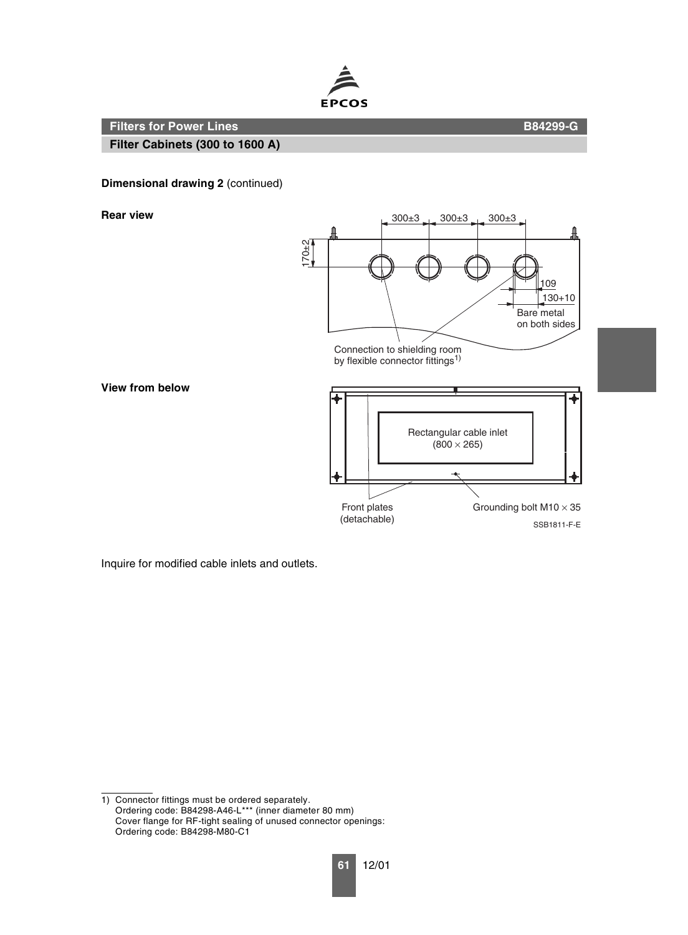

**Filter Cabinets (300 to 1600 A)**

## **Dimensional drawing 2** (continued)

**View from below**



Inquire for modified cable inlets and outlets.

1) Connector fittings must be ordered separately. Ordering code: B84298-A46-L\*\*\* (inner diameter 80 mm) Cover flange for RF-tight sealing of unused connector openings: Ordering code: B84298-M80-C1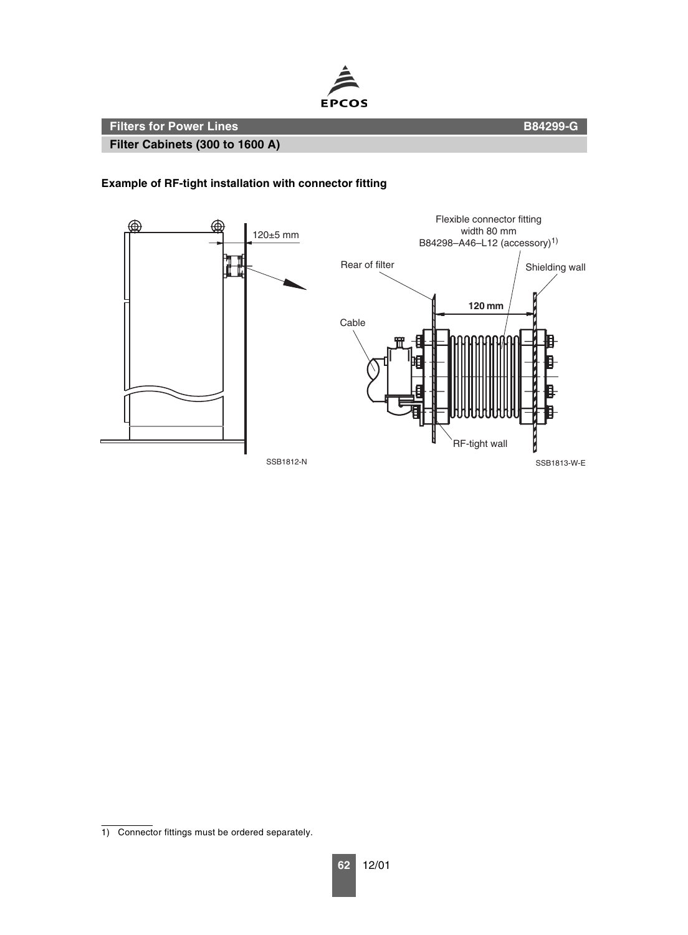

**Filter Cabinets (300 to 1600 A)**

# **Example of RF-tight installation with connector fitting**



<sup>1)</sup> Connector fittings must be ordered separately.